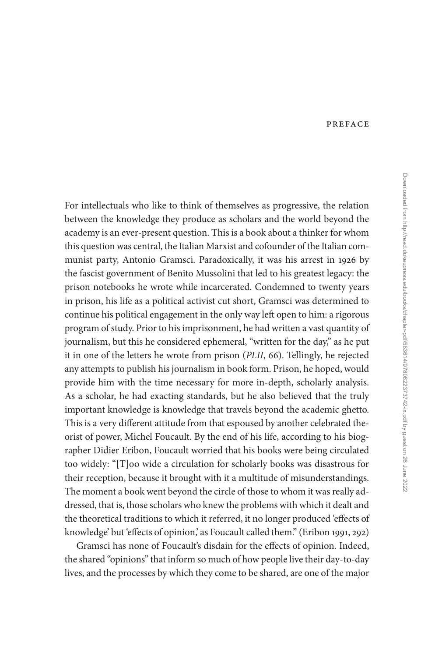For intellectuals who like to think of themselves as progressive, the relation between the knowledge they produce as scholars and the world beyond the academy is an ever-present question. This is a book about a thinker for whom this question was central, the Italian Marxist and cofounder of the Italian communist party, Antonio Gramsci. Paradoxically, it was his arrest in 1926 by the fascist government of Benito Mussolini that led to his greatest legacy: the prison notebooks he wrote while incarcerated. Condemned to twenty years in prison, his life as a political activist cut short, Gramsci was determined to continue his political engagement in the only way left open to him: a rigorous program of study. Prior to his imprisonment, he had written a vast quantity of journalism, but this he considered ephemeral, "written for the day," as he put it in one of the letters he wrote from prison (*PLII*, 66). Tellingly, he rejected any attempts to publish his journalism in book form. Prison, he hoped, would provide him with the time necessary for more in-depth, scholarly analysis. As a scholar, he had exacting standards, but he also believed that the truly important knowledge is knowledge that travels beyond the academic ghetto. This is a very different attitude from that espoused by another celebrated theorist of power, Michel Foucault. By the end of his life, according to his biographer Didier Eribon, Foucault worried that his books were being circulated too widely: "[T]oo wide a circulation for scholarly books was disastrous for their reception, because it brought with it a multitude of misunderstandings. The moment a book went beyond the circle of those to whom it was really addressed, that is, those scholars who knew the problems with which it dealt and the theoretical traditions to which it referred, it no longer produced 'effects of knowledge' but 'effects of opinion,' as Foucault called them." (Eribon 1991, 292)

Gramsci has none of Foucault's disdain for the effects of opinion. Indeed, the shared "opinions" that inform so much of how people live their day-to-day lives, and the processes by which they come to be shared, are one of the major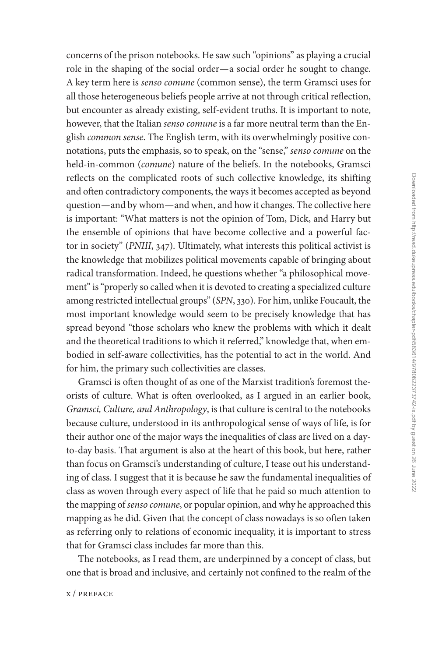concerns of the prison notebooks. He saw such "opinions" as playing a crucial role in the shaping of the social order—a social order he sought to change. A key term here is *senso comune* (common sense), the term Gramsci uses for all those heterogeneous beliefs people arrive at not through critical reflection, but encounter as already existing, self-evident truths. It is important to note, however, that the Italian *senso comune* is a far more neutral term than the English *common sense*. The English term, with its overwhelmingly positive connotations, puts the emphasis, so to speak, on the "sense," *senso comune* on the held-in-common (*comune*) nature of the beliefs. In the notebooks, Gramsci reflects on the complicated roots of such collective knowledge, its shifting and often contradictory components, the ways it becomes accepted as beyond question—and by whom—and when, and how it changes. The collective here is important: "What matters is not the opinion of Tom, Dick, and Harry but the ensemble of opinions that have become collective and a powerful factor in society" (*PNIII*, 347). Ultimately, what interests this political activist is the knowledge that mobilizes political movements capable of bringing about radical transformation. Indeed, he questions whether "a philosophical movement" is "properly so called when it is devoted to creating a specialized culture among restricted intellectual groups" (*SPN*, 330). For him, unlike Foucault, the most important knowledge would seem to be precisely knowledge that has spread beyond "those scholars who knew the problems with which it dealt and the theoretical traditions to which it referred," knowledge that, when embodied in self-aware collectivities, has the potential to act in the world. And for him, the primary such collectivities are classes.

Gramsci is often thought of as one of the Marxist tradition's foremost theorists of culture. What is often overlooked, as I argued in an earlier book, *Gramsci, Culture, and Anthropology*, is that culture is central to the notebooks because culture, understood in its anthropological sense of ways of life, is for their author one of the major ways the inequalities of class are lived on a dayto-day basis. That argument is also at the heart of this book, but here, rather than focus on Gramsci's understanding of culture, I tease out his understanding of class. I suggest that it is because he saw the fundamental inequalities of class as woven through every aspect of life that he paid so much attention to the mapping of *senso comune*, or popular opinion, and why he approached this mapping as he did. Given that the concept of class nowadays is so often taken as referring only to relations of economic inequality, it is important to stress that for Gramsci class includes far more than this.

The notebooks, as I read them, are underpinned by a concept of class, but one that is broad and inclusive, and certainly not confined to the realm of the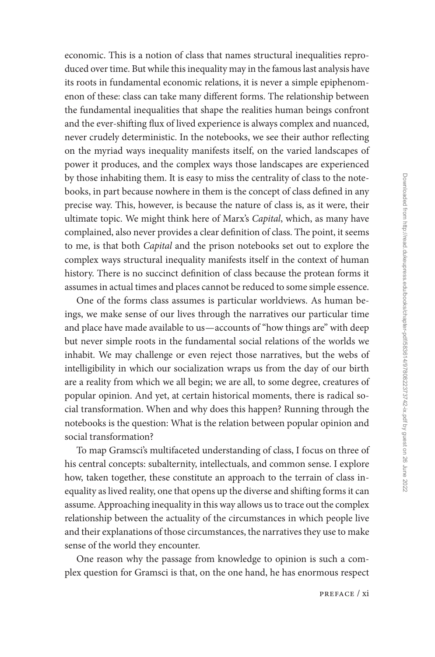economic. This is a notion of class that names structural inequalities reproduced over time. But while this inequality may in the famous last analysis have its roots in fundamental economic relations, it is never a simple epiphenomenon of these: class can take many different forms. The relationship between the fundamental inequalities that shape the realities human beings confront and the ever-shifting flux of lived experience is always complex and nuanced, never crudely deterministic. In the notebooks, we see their author reflecting on the myriad ways inequality manifests itself, on the varied landscapes of power it produces, and the complex ways those landscapes are experienced by those inhabiting them. It is easy to miss the centrality of class to the notebooks, in part because nowhere in them is the concept of class defined in any precise way. This, however, is because the nature of class is, as it were, their ultimate topic. We might think here of Marx's *Capital*, which, as many have complained, also never provides a clear definition of class. The point, it seems to me, is that both *Capital* and the prison notebooks set out to explore the complex ways structural inequality manifests itself in the context of human history. There is no succinct definition of class because the protean forms it assumes in actual times and places cannot be reduced to some simple essence.

One of the forms class assumes is particular worldviews. As human beings, we make sense of our lives through the narratives our particular time and place have made available to us—accounts of "how things are" with deep but never simple roots in the fundamental social relations of the worlds we inhabit. We may challenge or even reject those narratives, but the webs of intelligibility in which our socialization wraps us from the day of our birth are a reality from which we all begin; we are all, to some degree, creatures of popular opinion. And yet, at certain historical moments, there is radical social transformation. When and why does this happen? Running through the notebooks is the question: What is the relation between popular opinion and social transformation?

To map Gramsci's multifaceted understanding of class, I focus on three of his central concepts: subalternity, intellectuals, and common sense. I explore how, taken together, these constitute an approach to the terrain of class inequality as lived reality, one that opens up the diverse and shifting forms it can assume. Approaching inequality in this way allows us to trace out the complex relationship between the actuality of the circumstances in which people live and their explanations of those circumstances, the narratives they use to make sense of the world they encounter.

One reason why the passage from knowledge to opinion is such a complex question for Gramsci is that, on the one hand, he has enormous respect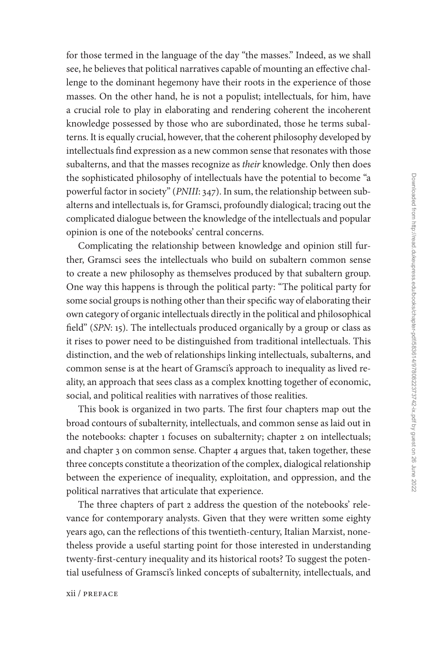for those termed in the language of the day "the masses." Indeed, as we shall see, he believes that political narratives capable of mounting an effective challenge to the dominant hegemony have their roots in the experience of those masses. On the other hand, he is not a populist; intellectuals, for him, have a crucial role to play in elaborating and rendering coherent the incoherent knowledge possessed by those who are subordinated, those he terms subalterns. It is equally crucial, however, that the coherent philosophy developed by intellectuals find expression as a new common sense that resonates with those subalterns, and that the masses recognize as *their* knowledge. Only then does the sophisticated philosophy of intellectuals have the potential to become "a powerful factor in society" (*PNIII*: 347). In sum, the relationship between subalterns and intellectuals is, for Gramsci, profoundly dialogical; tracing out the complicated dialogue between the knowledge of the intellectuals and popular opinion is one of the notebooks' central concerns.

Complicating the relationship between knowledge and opinion still further, Gramsci sees the intellectuals who build on subaltern common sense to create a new philosophy as themselves produced by that subaltern group. One way this happens is through the political party: "The political party for some social groups is nothing other than their specific way of elaborating their own category of organic intellectuals directly in the political and philosophical field" (*SPN*: 15). The intellectuals produced organically by a group or class as it rises to power need to be distinguished from traditional intellectuals. This distinction, and the web of relationships linking intellectuals, subalterns, and common sense is at the heart of Gramsci's approach to inequality as lived reality, an approach that sees class as a complex knotting together of economic, social, and political realities with narratives of those realities.

This book is organized in two parts. The first four chapters map out the broad contours of subalternity, intellectuals, and common sense as laid out in the notebooks: [chapter 1 f](#page--1-0)ocuses on subalternity; [chapter 2](#page--1-0) on intellectuals; and [chapter 3](#page--1-0) on common sense[. Chapter 4 a](#page--1-0)rgues that, taken together, these three concepts constitute a theorization of the complex, dialogical relationship between the experience of inequality, exploitation, and oppression, and the political narratives that articulate that experience.

The three chapters of [part 2](#page--1-0) address the question of the notebooks' relevance for contemporary analysts. Given that they were written some eighty years ago, can the reflections of this twentieth-century, Italian Marxist, nonetheless provide a useful starting point for those interested in understanding twenty-first-century inequality and its historical roots? To suggest the potential usefulness of Gramsci's linked concepts of subalternity, intellectuals, and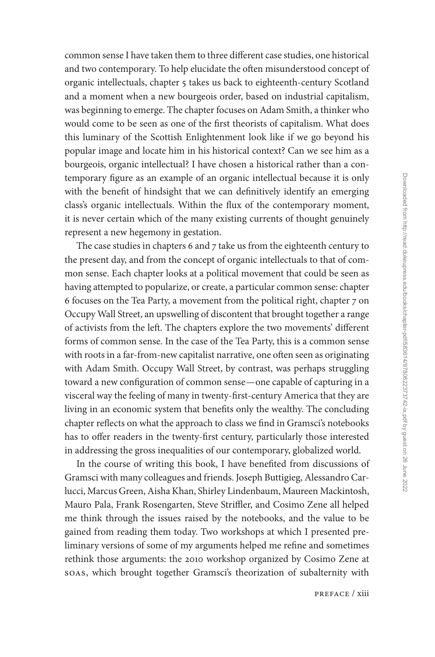common sense I have taken them to three different case studies, one historical and two contemporary. To help elucidate the often misunderstood concept of organic intellectuals, [chapter 5 t](#page--1-0)akes us back to eighteenth-century Scotland and a moment when a new bourgeois order, based on industrial capitalism, was beginning to emerge. The chapter focuses on Adam Smith, a thinker who would come to be seen as one of the first theorists of capitalism. What does this luminary of the Scottish Enlightenment look like if we go beyond his popular image and locate him in his historical context? Can we see him as a bourgeois, organic intellectual? I have chosen a historical rather than a contemporary figure as an example of an organic intellectual because it is only with the benefit of hindsight that we can definitively identify an emerging class's organic intellectuals. Within the flux of the contemporary moment, it is never certain which of the many existing currents of thought genuinely represent a new hegemony in gestation.

The case studies in [chapters 6](#page--1-0) an[d 7 t](#page--1-0)ake us from the eighteenth century to the present day, and from the concept of organic intellectuals to that of common sense. Each chapter looks at a political movement that could be seen as having attempted to popularize, or create, a particular common sense: [chapter](#page--1-0)  [6 f](#page--1-0)ocuses on the Tea Party, a movement from the political right, [chapter 7](#page--1-0) on Occupy Wall Street, an upswelling of discontent that brought together a range of activists from the left. The chapters explore the two movements' different forms of common sense. In the case of the Tea Party, this is a common sense with roots in a far-from-new capitalist narrative, one often seen as originating with Adam Smith. Occupy Wall Street, by contrast, was perhaps struggling toward a new configuration of common sense—one capable of capturing in a visceral way the feeling of many in twenty-first-century America that they are living in an economic system that benefits only the wealthy. The concluding chapter reflects on what the approach to class we find in Gramsci's notebooks has to offer readers in the twenty-first century, particularly those interested in addressing the gross inequalities of our contemporary, globalized world.

In the course of writing this book, I have benefited from discussions of Gramsci with many colleagues and friends. Joseph Buttigieg, Alessandro Carlucci, Marcus Green, Aisha Khan, Shirley Lindenbaum, Maureen Mackintosh, Mauro Pala, Frank Rosengarten, Steve Striffler, and Cosimo Zene all helped me think through the issues raised by the notebooks, and the value to be gained from reading them today. Two workshops at which I presented preliminary versions of some of my arguments helped me refine and sometimes rethink those arguments: the 2010 workshop organized by Cosimo Zene at soas, which brought together Gramsci's theorization of subalternity with